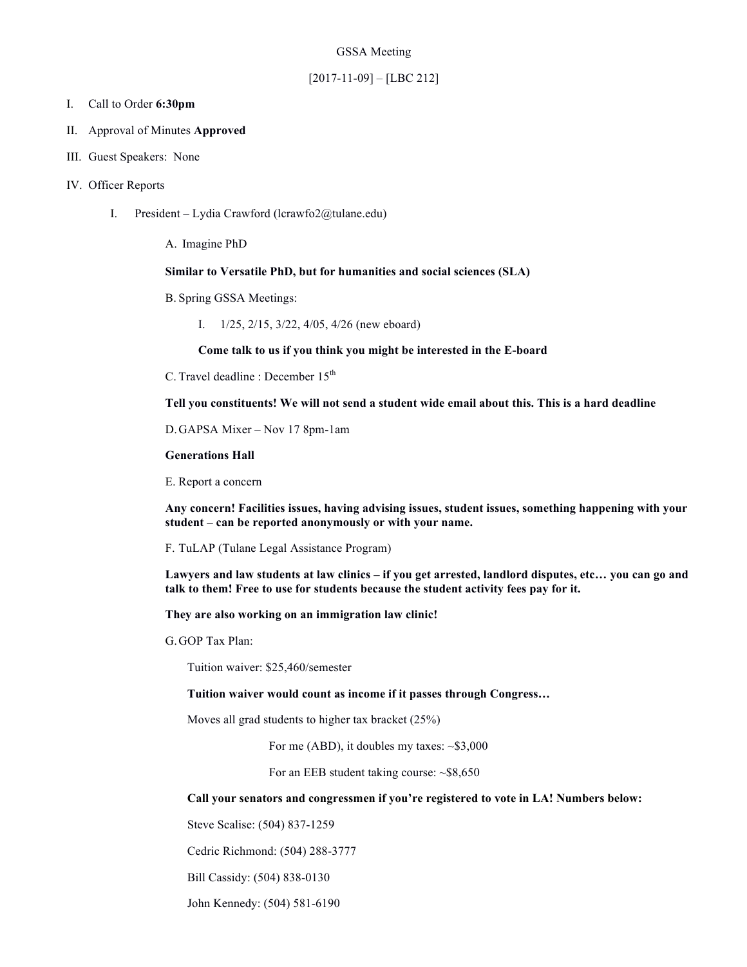#### GSSA Meeting

## [2017-11-09] – [LBC 212]

## I. Call to Order **6:30pm**

- II. Approval of Minutes **Approved**
- III. Guest Speakers: None

## IV. Officer Reports

I. President – Lydia Crawford (lcrawfo2@tulane.edu)

A. Imagine PhD

# **Similar to Versatile PhD, but for humanities and social sciences (SLA)**

- B. Spring GSSA Meetings:
	- I. 1/25, 2/15, 3/22, 4/05, 4/26 (new eboard)

**Come talk to us if you think you might be interested in the E-board**

C. Travel deadline : December 15<sup>th</sup>

**Tell you constituents! We will not send a student wide email about this. This is a hard deadline**

D.GAPSA Mixer – Nov 17 8pm-1am

### **Generations Hall**

E. Report a concern

**Any concern! Facilities issues, having advising issues, student issues, something happening with your student – can be reported anonymously or with your name.**

F. TuLAP (Tulane Legal Assistance Program)

**Lawyers and law students at law clinics – if you get arrested, landlord disputes, etc… you can go and talk to them! Free to use for students because the student activity fees pay for it.**

**They are also working on an immigration law clinic!**

G.GOP Tax Plan:

Tuition waiver: \$25,460/semester

**Tuition waiver would count as income if it passes through Congress…**

Moves all grad students to higher tax bracket (25%)

For me (ABD), it doubles my taxes:  $\sim $3,000$ 

For an EEB student taking course: ~\$8,650

**Call your senators and congressmen if you're registered to vote in LA! Numbers below:**

Steve Scalise: (504) 837-1259

Cedric Richmond: (504) 288-3777

Bill Cassidy: (504) 838-0130

John Kennedy: (504) 581-6190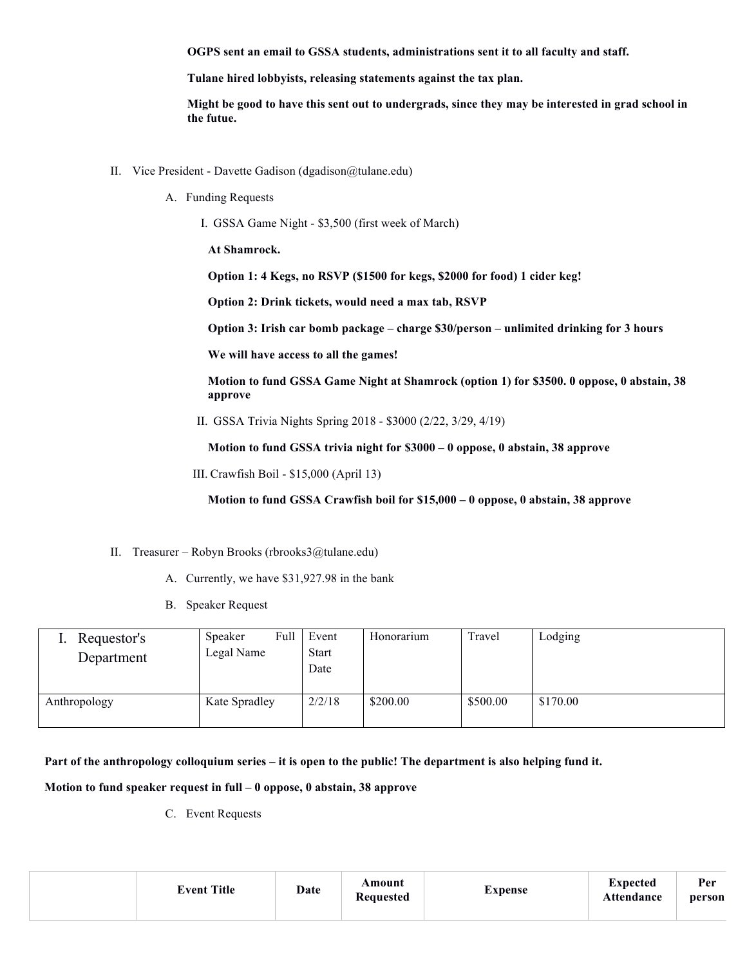**OGPS sent an email to GSSA students, administrations sent it to all faculty and staff.**

**Tulane hired lobbyists, releasing statements against the tax plan.**

**Might be good to have this sent out to undergrads, since they may be interested in grad school in the futue.**

- II. Vice President Davette Gadison (dgadison@tulane.edu)
	- A. Funding Requests
		- I. GSSA Game Night \$3,500 (first week of March)

**At Shamrock.**

**Option 1: 4 Kegs, no RSVP (\$1500 for kegs, \$2000 for food) 1 cider keg!**

**Option 2: Drink tickets, would need a max tab, RSVP**

**Option 3: Irish car bomb package – charge \$30/person – unlimited drinking for 3 hours**

**We will have access to all the games!**

**Motion to fund GSSA Game Night at Shamrock (option 1) for \$3500. 0 oppose, 0 abstain, 38 approve**

II. GSSA Trivia Nights Spring 2018 - \$3000 (2/22, 3/29, 4/19)

**Motion to fund GSSA trivia night for \$3000 – 0 oppose, 0 abstain, 38 approve**

III. Crawfish Boil - \$15,000 (April 13)

**Motion to fund GSSA Crawfish boil for \$15,000 – 0 oppose, 0 abstain, 38 approve**

- II. Treasurer Robyn Brooks (rbrooks3@tulane.edu)
	- A. Currently, we have \$31,927.98 in the bank
	- B. Speaker Request

| Requestor's<br>Department | Speaker<br>Legal Name | Full | Event<br><b>Start</b><br>Date | Honorarium | Travel   | Lodging  |
|---------------------------|-----------------------|------|-------------------------------|------------|----------|----------|
| Anthropology              | Kate Spradley         |      | 2/2/18                        | \$200.00   | \$500.00 | \$170.00 |

**Part of the anthropology colloquium series – it is open to the public! The department is also helping fund it.**

**Motion to fund speaker request in full – 0 oppose, 0 abstain, 38 approve**

C. Event Requests

| <b>Event Title</b> | Date | Amount<br><b>Requested</b> | Expense | Expected<br>Attendance | Per<br>person |
|--------------------|------|----------------------------|---------|------------------------|---------------|
|                    |      |                            |         |                        |               |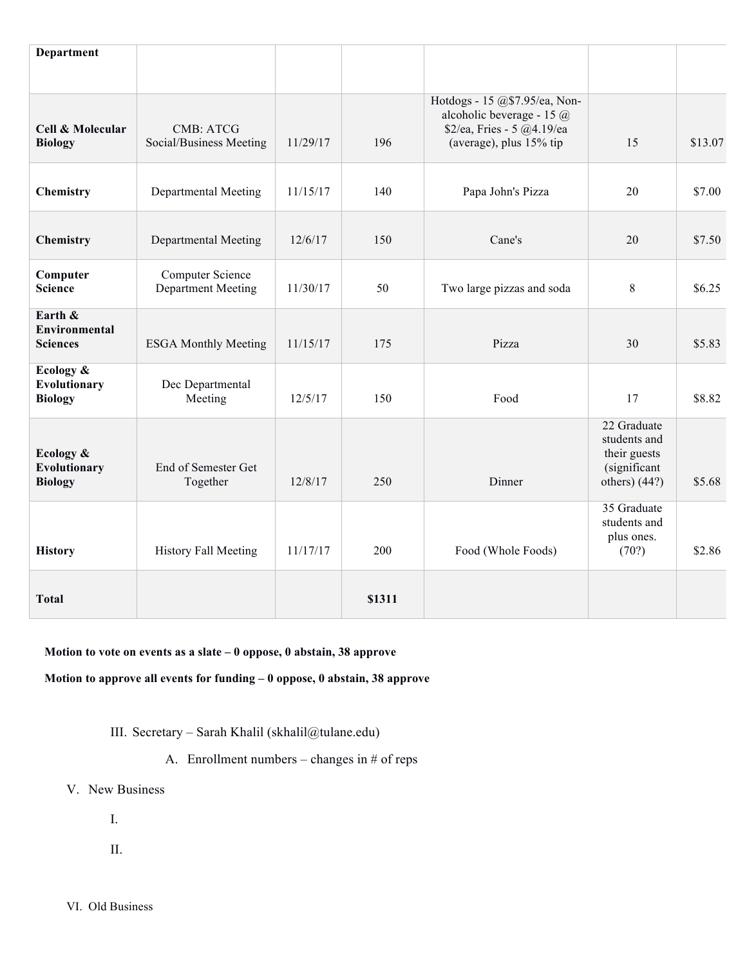| <b>Department</b>                           |                                               |          |        |                                                                                                                     |                                                                                |         |
|---------------------------------------------|-----------------------------------------------|----------|--------|---------------------------------------------------------------------------------------------------------------------|--------------------------------------------------------------------------------|---------|
| Cell & Molecular<br><b>Biology</b>          | <b>CMB: ATCG</b><br>Social/Business Meeting   | 11/29/17 | 196    | Hotdogs - 15 @\$7.95/ea, Non-<br>alcoholic beverage - 15 @<br>\$2/ea, Fries - 5 @4.19/ea<br>(average), plus 15% tip | 15                                                                             | \$13.07 |
| Chemistry                                   | Departmental Meeting                          | 11/15/17 | 140    | Papa John's Pizza                                                                                                   | 20                                                                             | \$7.00  |
| Chemistry                                   | Departmental Meeting                          | 12/6/17  | 150    | Cane's                                                                                                              | 20                                                                             | \$7.50  |
| Computer<br><b>Science</b>                  | Computer Science<br><b>Department Meeting</b> | 11/30/17 | 50     | Two large pizzas and soda                                                                                           | 8                                                                              | \$6.25  |
| Earth &<br>Environmental<br><b>Sciences</b> | <b>ESGA Monthly Meeting</b>                   | 11/15/17 | 175    | Pizza                                                                                                               | 30                                                                             | \$5.83  |
| Ecology &<br>Evolutionary<br><b>Biology</b> | Dec Departmental<br>Meeting                   | 12/5/17  | 150    | Food                                                                                                                | 17                                                                             | \$8.82  |
| Ecology &<br>Evolutionary<br><b>Biology</b> | End of Semester Get<br>Together               | 12/8/17  | 250    | Dinner                                                                                                              | 22 Graduate<br>students and<br>their guests<br>(significant<br>others) $(44?)$ | \$5.68  |
| <b>History</b>                              | <b>History Fall Meeting</b>                   | 11/17/17 | 200    | Food (Whole Foods)                                                                                                  | 35 Graduate<br>students and<br>plus ones.<br>(70?)                             | \$2.86  |
| <b>Total</b>                                |                                               |          | \$1311 |                                                                                                                     |                                                                                |         |

**Motion to vote on events as a slate – 0 oppose, 0 abstain, 38 approve**

**Motion to approve all events for funding – 0 oppose, 0 abstain, 38 approve**

III. Secretary – Sarah Khalil (skhalil@tulane.edu)

- A. Enrollment numbers changes in  $#$  of reps
- V. New Business
	- I.
	- II.